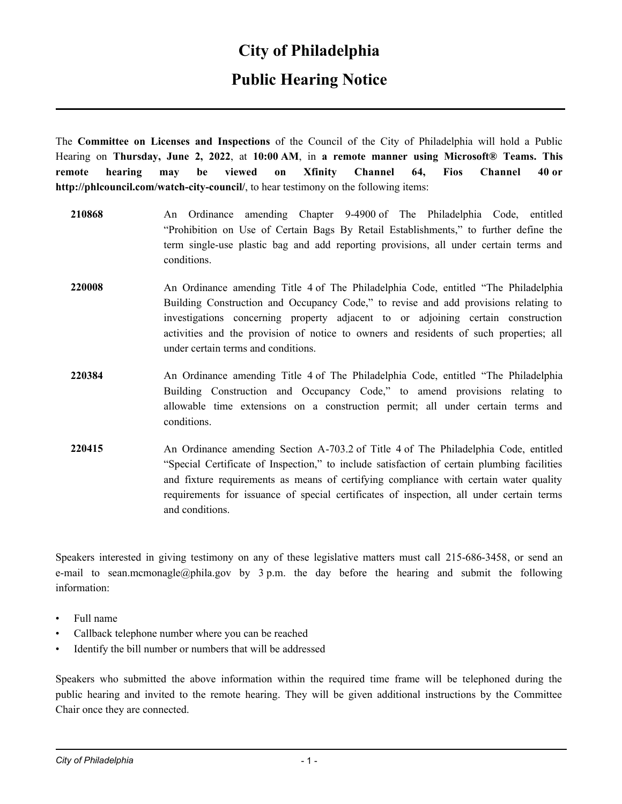#### **City of Philadelphia**

### **Public Hearing Notice**

The **Committee on Licenses and Inspections** of the Council of the City of Philadelphia will hold a Public Hearing on **Thursday, June 2, 2022**, at **10:00 AM**, in **a remote manner using Microsoft® Teams. This remote hearing may be viewed on Xfinity Channel 64, Fios Channel 40 or http://phlcouncil.com/watch-city-council/**, to hear testimony on the following items:

- **210868** An Ordinance amending Chapter 9-4900 of The Philadelphia Code, entitled "Prohibition on Use of Certain Bags By Retail Establishments," to further define the term single-use plastic bag and add reporting provisions, all under certain terms and conditions.
- **220008** An Ordinance amending Title 4 of The Philadelphia Code, entitled "The Philadelphia Building Construction and Occupancy Code," to revise and add provisions relating to investigations concerning property adjacent to or adjoining certain construction activities and the provision of notice to owners and residents of such properties; all under certain terms and conditions.
- **220384** An Ordinance amending Title 4 of The Philadelphia Code, entitled "The Philadelphia Building Construction and Occupancy Code," to amend provisions relating to allowable time extensions on a construction permit; all under certain terms and conditions.
- **220415** An Ordinance amending Section A-703.2 of Title 4 of The Philadelphia Code, entitled "Special Certificate of Inspection," to include satisfaction of certain plumbing facilities and fixture requirements as means of certifying compliance with certain water quality requirements for issuance of special certificates of inspection, all under certain terms and conditions.

Speakers interested in giving testimony on any of these legislative matters must call 215-686-3458, or send an e-mail to sean.mcmonagle@phila.gov by  $3$  p.m. the day before the hearing and submit the following information:

- Full name
- Callback telephone number where you can be reached
- Identify the bill number or numbers that will be addressed

Speakers who submitted the above information within the required time frame will be telephoned during the public hearing and invited to the remote hearing. They will be given additional instructions by the Committee Chair once they are connected.